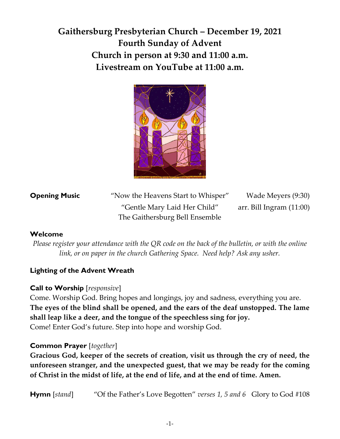# **Gaithersburg Presbyterian Church – December 19, 2021 Fourth Sunday of Advent Church in person at 9:30 and 11:00 a.m. Livestream on YouTube at 11:00 a.m.**



| <b>Opening Music</b> | "Now the Heavens Start to Whisper" | Wade Meyers (9:30)         |
|----------------------|------------------------------------|----------------------------|
|                      | "Gentle Mary Laid Her Child"       | arr. Bill Ingram $(11:00)$ |
|                      | The Gaithersburg Bell Ensemble     |                            |

#### **Welcome**

*Please register your attendance with the QR code on the back of the bulletin, or with the online link, or on paper in the church Gathering Space. Need help? Ask any usher.*

### **Lighting of the Advent Wreath**

### **Call to Worship** [*responsive*]

Come. Worship God. Bring hopes and longings, joy and sadness, everything you are. **The eyes of the blind shall be opened, and the ears of the deaf unstopped. The lame shall leap like a deer, and the tongue of the speechless sing for joy.** Come! Enter God's future. Step into hope and worship God.

#### **Common Prayer** [*together*]

**Gracious God, keeper of the secrets of creation, visit us through the cry of need, the unforeseen stranger, and the unexpected guest, that we may be ready for the coming of Christ in the midst of life, at the end of life, and at the end of time. Amen.**

**Hymn** [*stand*] "Of the Father's Love Begotten" *verses 1, 5 and 6* Glory to God #108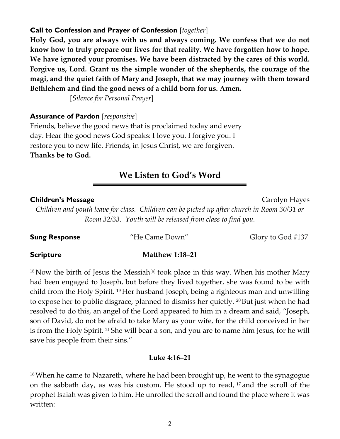# **Call to Confession and Prayer of Confession** [*together*]

**Holy God, you are always with us and always coming. We confess that we do not know how to truly prepare our lives for that reality. We have forgotten how to hope. We have ignored your promises. We have been distracted by the cares of this world. Forgive us, Lord. Grant us the simple wonder of the shepherds, the courage of the magi, and the quiet faith of Mary and Joseph, that we may journey with them toward Bethlehem and find the good news of a child born for us. Amen.**

[*Silence for Personal Prayer*]

## **Assurance of Pardon** [*responsive*]

Friends, believe the good news that is proclaimed today and every day. Hear the good news God speaks: I love you. I forgive you. I restore you to new life. Friends, in Jesus Christ, we are forgiven. **Thanks be to God.**

# **We Listen to God's Word**

## **Children's Message Children's Message** *Carolyn Hayes*

*Children and youth leave for class. Children can be picked up after church in Room 30/31 or Room 32/33. Youth will be released from class to find you.* 

**Sung Response** "He Came Down" Glory to God #137

#### **Scripture Matthew 1:18–21**

 $^{18}$ Now the birth of Jesus the Messiah $^{[a]}$  $^{[a]}$  $^{[a]}$  took place in this way. When his mother Mary had been engaged to Joseph, but before they lived together, she was found to be with child from the Holy Spirit. <sup>19</sup> Her husband Joseph, being a righteous man and unwilling to expose her to public disgrace, planned to dismiss her quietly. <sup>20</sup> But just when he had resolved to do this, an angel of the Lord appeared to him in a dream and said, "Joseph, son of David, do not be afraid to take Mary as your wife, for the child conceived in her is from the Holy Spirit. <sup>21</sup> She will bear a son, and you are to name him Jesus, for he will save his people from their sins."

### **Luke 4:16–21**

<sup>16</sup>When he came to Nazareth, where he had been brought up, he went to the synagogue on the sabbath day, as was his custom. He stood up to read, <sup>17</sup> and the scroll of the prophet Isaiah was given to him. He unrolled the scroll and found the place where it was written: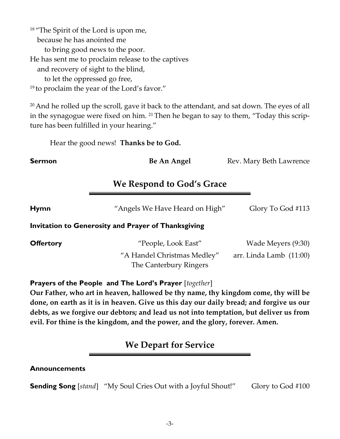<sup>18</sup> "The Spirit of the Lord is upon me, because he has anointed me to bring good news to the poor. He has sent me to proclaim release to the captives and recovery of sight to the blind, to let the oppressed go free, <sup>19</sup> to proclaim the year of the Lord's favor."

<sup>20</sup> And he rolled up the scroll, gave it back to the attendant, and sat down. The eyes of all in the synagogue were fixed on him. <sup>21</sup> Then he began to say to them, "Today this scripture has been fulfilled in your hearing."

Hear the good news! **Thanks be to God.**

**Sermon Be An Angel** Rev. Mary Beth Lawrence

# **We Respond to God's Grace**

**Hymn** "Angels We Have Heard on High" Glory To God #113

#### **Invitation to Generosity and Prayer of Thanksgiving**

| <b>Offertory</b> | "People, Look East"         | Wade Meyers (9:30)        |
|------------------|-----------------------------|---------------------------|
|                  | "A Handel Christmas Medley" | arr. Linda Lamb $(11:00)$ |
|                  | The Canterbury Ringers      |                           |

#### **Prayers of the People and The Lord's Prayer** [*together*]

**Our Father, who art in heaven, hallowed be thy name, thy kingdom come, thy will be done, on earth as it is in heaven. Give us this day our daily bread; and forgive us our debts, as we forgive our debtors; and lead us not into temptation, but deliver us from evil. For thine is the kingdom, and the power, and the glory, forever. Amen.**

# **We Depart for Service**

#### **Announcements**

**Sending Song** [*stand*] "My Soul Cries Out with a Joyful Shout!" Glory to God #100